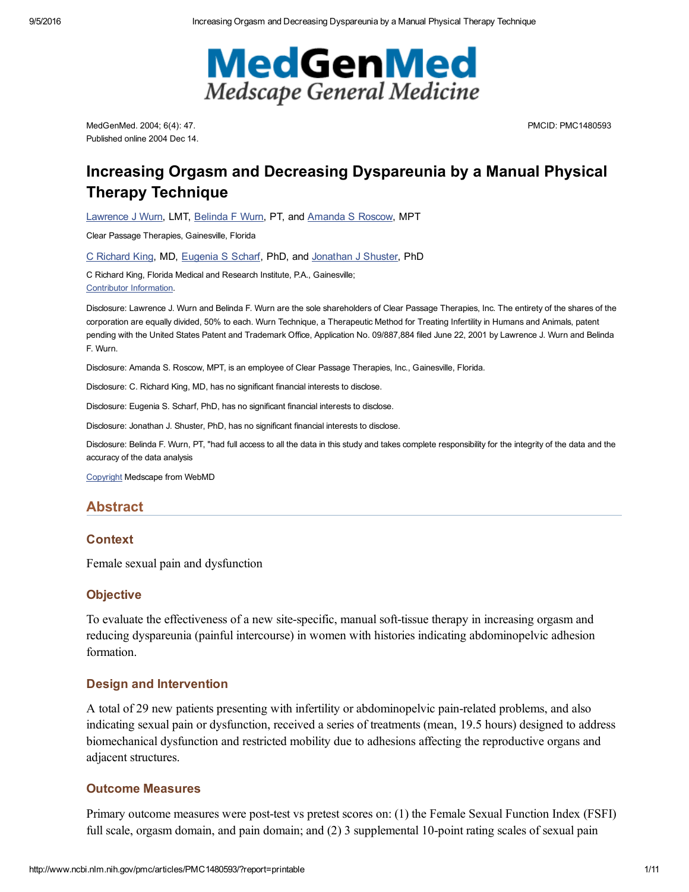

MedGenMed. 2004; 6(4): 47. Published online 2004 Dec 14. PMCID: PMC1480593

# Increasing Orgasm and Decreasing Dyspareunia by a Manual Physical Therapy Technique

[Lawrence](http://www.ncbi.nlm.nih.gov/pubmed/?term=Wurn%20LJ%5BAuthor%5D&cauthor=true&cauthor_uid=15775874) J Wurn, LMT, [Belinda](http://www.ncbi.nlm.nih.gov/pubmed/?term=Wurn%20BF%5BAuthor%5D&cauthor=true&cauthor_uid=15775874) F Wurn, PT, and [Amanda](http://www.ncbi.nlm.nih.gov/pubmed/?term=Roscow%20AS%5BAuthor%5D&cauthor=true&cauthor_uid=15775874) S Roscow, MPT

Clear Passage Therapies, Gainesville, Florida

C [Richard](http://www.ncbi.nlm.nih.gov/pubmed/?term=King%20CR%5BAuthor%5D&cauthor=true&cauthor_uid=15775874) King, MD, [Eugenia](http://www.ncbi.nlm.nih.gov/pubmed/?term=Scharf%20ES%5BAuthor%5D&cauthor=true&cauthor_uid=15775874) S Scharf, PhD, and [Jonathan](http://www.ncbi.nlm.nih.gov/pubmed/?term=Shuster%20JJ%5BAuthor%5D&cauthor=true&cauthor_uid=15775874) J Shuster, PhD

C Richard King, Florida Medical and Research Institute, P.A., Gainesville; Contributor [Information.](#page-7-0)

Disclosure: Lawrence J. Wurn and Belinda F. Wurn are the sole shareholders of Clear Passage Therapies, Inc. The entirety of the shares of the corporation are equally divided, 50% to each. Wurn Technique, a Therapeutic Method for Treating Infertility in Humans and Animals, patent pending with the United States Patent and Trademark Office, Application No. 09/887,884 filed June 22, 2001 by Lawrence J. Wurn and Belinda F. Wurn.

Disclosure: Amanda S. Roscow, MPT, is an employee of Clear Passage Therapies, Inc., Gainesville, Florida.

Disclosure: C. Richard King, MD, has no significant financial interests to disclose.

Disclosure: Eugenia S. Scharf, PhD, has no significant financial interests to disclose.

Disclosure: Jonathan J. Shuster, PhD, has no significant financial interests to disclose.

Disclosure: Belinda F. Wurn, PT, "had full access to all the data in this study and takes complete responsibility for the integrity of the data and the accuracy of the data analysis

[Copyright](http://www.ncbi.nlm.nih.gov/pmc/about/copyright/) Medscape from WebMD

### Abstract

### **Context**

Female sexual pain and dysfunction

#### **Objective**

To evaluate the effectiveness of a new site-specific, manual soft-tissue therapy in increasing orgasm and reducing dyspareunia (painful intercourse) in women with histories indicating abdominopelvic adhesion formation.

#### Design and Intervention

A total of 29 new patients presenting with infertility or abdominopelvic pain-related problems, and also indicating sexual pain or dysfunction, received a series of treatments (mean, 19.5 hours) designed to address biomechanical dysfunction and restricted mobility due to adhesions affecting the reproductive organs and adjacent structures.

### Outcome Measures

Primary outcome measures were post-test vs pretest scores on: (1) the Female Sexual Function Index (FSFI) full scale, orgasm domain, and pain domain; and  $(2)$  3 supplemental 10-point rating scales of sexual pain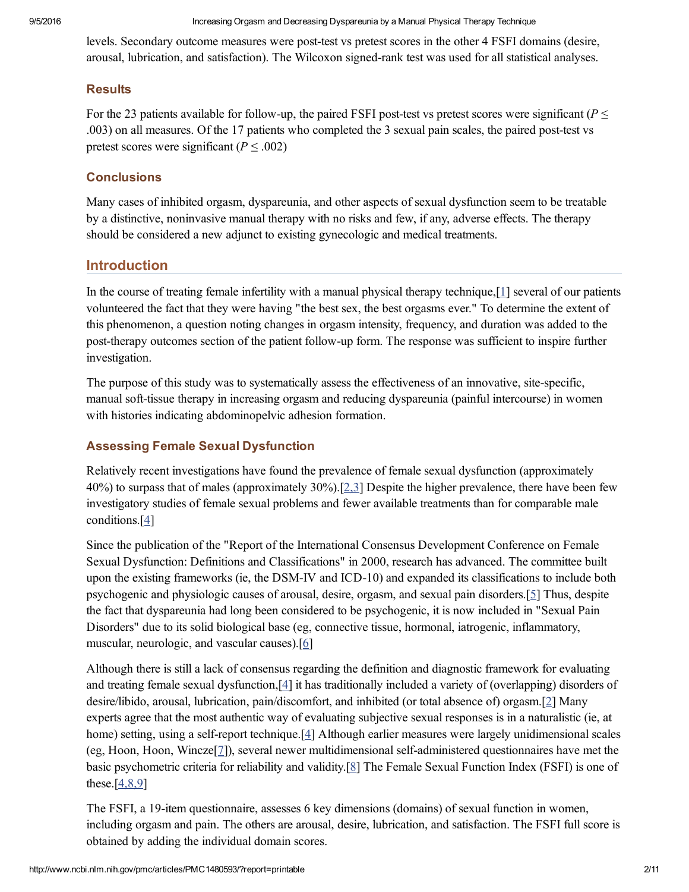levels. Secondary outcome measures were post-test vs pretest scores in the other 4 FSFI domains (desire, arousal, lubrication, and satisfaction). The Wilcoxon signed-rank test was used for all statistical analyses.

## **Results**

For the 23 patients available for follow-up, the paired FSFI post-test vs pretest scores were significant ( $P \leq$ .003) on all measures. Of the 17 patients who completed the 3 sexual pain scales, the paired post-test vs pretest scores were significant ( $P \le 0.002$ )

# **Conclusions**

Many cases of inhibited orgasm, dyspareunia, and other aspects of sexual dysfunction seem to be treatable by a distinctive, noninvasive manual therapy with no risks and few, if any, adverse effects. The therapy should be considered a new adjunct to existing gynecologic and medical treatments.

# Introduction

In the course of treating female infertility with a manual physical therapy technique, [[1\]](#page-7-1) several of our patients volunteered the fact that they were having "the best sex, the best orgasms ever." To determine the extent of this phenomenon, a question noting changes in orgasm intensity, frequency, and duration was added to the posttherapy outcomes section of the patient followup form. The response was sufficient to inspire further investigation.

The purpose of this study was to systematically assess the effectiveness of an innovative, sitespecific, manual soft-tissue therapy in increasing orgasm and reducing dyspareunia (painful intercourse) in women with histories indicating abdominopelvic adhesion formation.

# Assessing Female Sexual Dysfunction

Relatively recent investigations have found the prevalence of female sexual dysfunction (approximately 40%) to surpass that of males (approximately 30%).[[2,3\]](#page-7-2) Despite the higher prevalence, there have been few investigatory studies of female sexual problems and fewer available treatments than for comparable male conditions. $[4]$ 

Since the publication of the "Report of the International Consensus Development Conference on Female Sexual Dysfunction: Definitions and Classifications" in 2000, research has advanced. The committee built upon the existing frameworks (ie, the DSM-IV and ICD-10) and expanded its classifications to include both psychogenic and physiologic causes of arousal, desire, orgasm, and sexual pain disorders.[\[5](#page-7-4)] Thus, despite the fact that dyspareunia had long been considered to be psychogenic, it is now included in "Sexual Pain Disorders" due to its solid biological base (eg, connective tissue, hormonal, iatrogenic, inflammatory, muscular, neurologic, and vascular causes).[\[6\]](#page-7-5)

Although there is still a lack of consensus regarding the definition and diagnostic framework for evaluating and treating female sexual dysfunction,[\[4\]](#page-7-3) it has traditionally included a variety of (overlapping) disorders of desire/libido, arousal, lubrication, pain/discomfort, and inhibited (or total absence of) orgasm.[\[2](#page-7-2)] Many experts agree that the most authentic way of evaluating subjective sexual responses is in a naturalistic (ie, at home) setting, using a self-report technique.[\[4\]](#page-7-3) Although earlier measures were largely unidimensional scales  $(eg, Hoon, Hoon, Wincze[7])$  $(eg, Hoon, Hoon, Wincze[7])$  $(eg, Hoon, Hoon, Wincze[7])$ , several newer multidimensional self-administered questionnaires have met the basic psychometric criteria for reliability and validity.[\[8\]](#page-7-7) The Female Sexual Function Index (FSFI) is one of these. $[4,8,9]$ 

The FSFI, a 19-item questionnaire, assesses 6 key dimensions (domains) of sexual function in women, including orgasm and pain. The others are arousal, desire, lubrication, and satisfaction. The FSFI full score is obtained by adding the individual domain scores.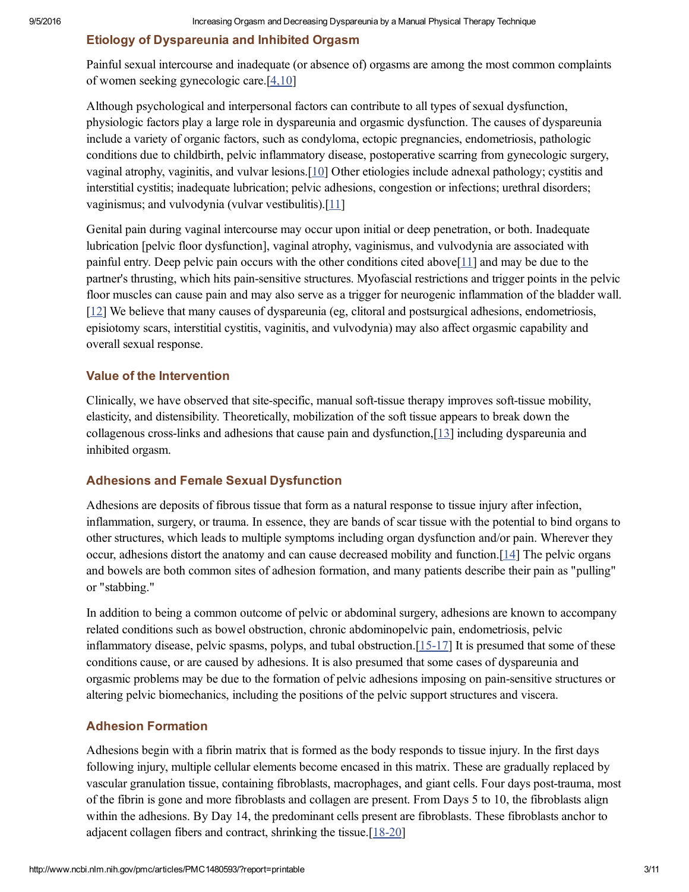# Etiology of Dyspareunia and Inhibited Orgasm

Painful sexual intercourse and inadequate (or absence of) orgasms are among the most common complaints of women seeking gynecologic care.[[4,10\]](#page-7-3)

Although psychological and interpersonal factors can contribute to all types of sexual dysfunction, physiologic factors play a large role in dyspareunia and orgasmic dysfunction. The causes of dyspareunia include a variety of organic factors, such as condyloma, ectopic pregnancies, endometriosis, pathologic conditions due to childbirth, pelvic inflammatory disease, postoperative scarring from gynecologic surgery, vaginal atrophy, vaginitis, and vulvar lesions.[\[10](#page-8-0)] Other etiologies include adnexal pathology; cystitis and interstitial cystitis; inadequate lubrication; pelvic adhesions, congestion or infections; urethral disorders; vaginismus; and vulvodynia (vulvar vestibulitis).[[11](#page-8-1)]

Genital pain during vaginal intercourse may occur upon initial or deep penetration, or both. Inadequate lubrication [pelvic floor dysfunction], vaginal atrophy, vaginismus, and vulvodynia are associated with painful entry. Deep pelvic pain occurs with the other conditions cited above[[11](#page-8-1)] and may be due to the partner's thrusting, which hits pain-sensitive structures. Myofascial restrictions and trigger points in the pelvic floor muscles can cause pain and may also serve as a trigger for neurogenic inflammation of the bladder wall. [\[12](#page-8-2)] We believe that many causes of dyspareunia (eg, clitoral and postsurgical adhesions, endometriosis, episiotomy scars, interstitial cystitis, vaginitis, and vulvodynia) may also affect orgasmic capability and overall sexual response.

### Value of the Intervention

Clinically, we have observed that site-specific, manual soft-tissue therapy improves soft-tissue mobility, elasticity, and distensibility. Theoretically, mobilization of the soft tissue appears to break down the collagenous cross-links and adhesions that cause pain and dysfunction,  $[13]$  $[13]$  including dyspareunia and inhibited orgasm.

### Adhesions and Female Sexual Dysfunction

Adhesions are deposits of fibrous tissue that form as a natural response to tissue injury after infection, inflammation, surgery, or trauma. In essence, they are bands of scar tissue with the potential to bind organs to other structures, which leads to multiple symptoms including organ dysfunction and/or pain. Wherever they occur, adhesions distort the anatomy and can cause decreased mobility and function.[\[14](#page-8-4)] The pelvic organs and bowels are both common sites of adhesion formation, and many patients describe their pain as "pulling" or "stabbing."

In addition to being a common outcome of pelvic or abdominal surgery, adhesions are known to accompany related conditions such as bowel obstruction, chronic abdominopelvic pain, endometriosis, pelvic inflammatory disease, pelvic spasms, polyps, and tubal obstruction. $[15-17]$  It is presumed that some of these conditions cause, or are caused by adhesions. It is also presumed that some cases of dyspareunia and orgasmic problems may be due to the formation of pelvic adhesions imposing on painsensitive structures or altering pelvic biomechanics, including the positions of the pelvic support structures and viscera.

### Adhesion Formation

Adhesions begin with a fibrin matrix that is formed as the body responds to tissue injury. In the first days following injury, multiple cellular elements become encased in this matrix. These are gradually replaced by vascular granulation tissue, containing fibroblasts, macrophages, and giant cells. Four days posttrauma, most of the fibrin is gone and more fibroblasts and collagen are present. From Days 5 to 10, the fibroblasts align within the adhesions. By Day 14, the predominant cells present are fibroblasts. These fibroblasts anchor to adjacent collagen fibers and contract, shrinking the tissue.[18-20]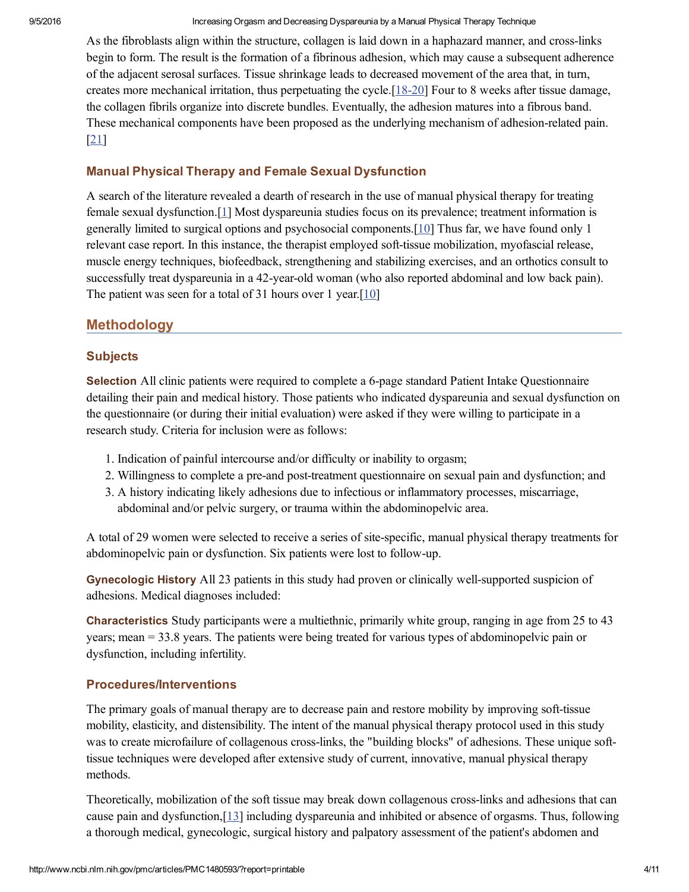As the fibroblasts align within the structure, collagen is laid down in a haphazard manner, and cross-links begin to form. The result is the formation of a fibrinous adhesion, which may cause a subsequent adherence of the adjacent serosal surfaces. Tissue shrinkage leads to decreased movement of the area that, in turn, creates more mechanical irritation, thus perpetuating the cycle. $[18-20]$  Four to 8 weeks after tissue damage, the collagen fibrils organize into discrete bundles. Eventually, the adhesion matures into a fibrous band. These mechanical components have been proposed as the underlying mechanism of adhesion-related pain. [\[21](#page-8-7)]

### Manual Physical Therapy and Female Sexual Dysfunction

A search of the literature revealed a dearth of research in the use of manual physical therapy for treating female sexual dysfunction.[[1](#page-7-1)] Most dyspareunia studies focus on its prevalence; treatment information is generally limited to surgical options and psychosocial components. [\[10](#page-8-0)] Thus far, we have found only 1 relevant case report. In this instance, the therapist employed soft-tissue mobilization, myofascial release, muscle energy techniques, biofeedback, strengthening and stabilizing exercises, and an orthotics consult to successfully treat dyspareunia in a 42-year-old woman (who also reported abdominal and low back pain). The patient was seen for a total of 31 hours over 1 year.<sup>[\[10](#page-8-0)]</sup>

# Methodology

### **Subjects**

Selection All clinic patients were required to complete a 6-page standard Patient Intake Questionnaire detailing their pain and medical history. Those patients who indicated dyspareunia and sexual dysfunction on the questionnaire (or during their initial evaluation) were asked if they were willing to participate in a research study. Criteria for inclusion were as follows:

- 1. Indication of painful intercourse and/or difficulty or inability to orgasm;
- 2. Willingness to complete a pre-and post-treatment questionnaire on sexual pain and dysfunction; and
- 3. A history indicating likely adhesions due to infectious or inflammatory processes, miscarriage, abdominal and/or pelvic surgery, or trauma within the abdominopelvic area.

A total of 29 women were selected to receive a series of sitespecific, manual physical therapy treatments for abdominopelvic pain or dysfunction. Six patients were lost to follow-up.

Gynecologic History All 23 patients in this study had proven or clinically well-supported suspicion of adhesions. Medical diagnoses included:

Characteristics Study participants were a multiethnic, primarily white group, ranging in age from 25 to 43 years; mean = 33.8 years. The patients were being treated for various types of abdominopelvic pain or dysfunction, including infertility.

## Procedures/Interventions

The primary goals of manual therapy are to decrease pain and restore mobility by improving soft-tissue mobility, elasticity, and distensibility. The intent of the manual physical therapy protocol used in this study was to create microfailure of collagenous cross-links, the "building blocks" of adhesions. These unique softtissue techniques were developed after extensive study of current, innovative, manual physical therapy methods.

Theoretically, mobilization of the soft tissue may break down collagenous crosslinks and adhesions that can cause pain and dysfunction, $[13]$  $[13]$  including dyspareunia and inhibited or absence of orgasms. Thus, following a thorough medical, gynecologic, surgical history and palpatory assessment of the patient's abdomen and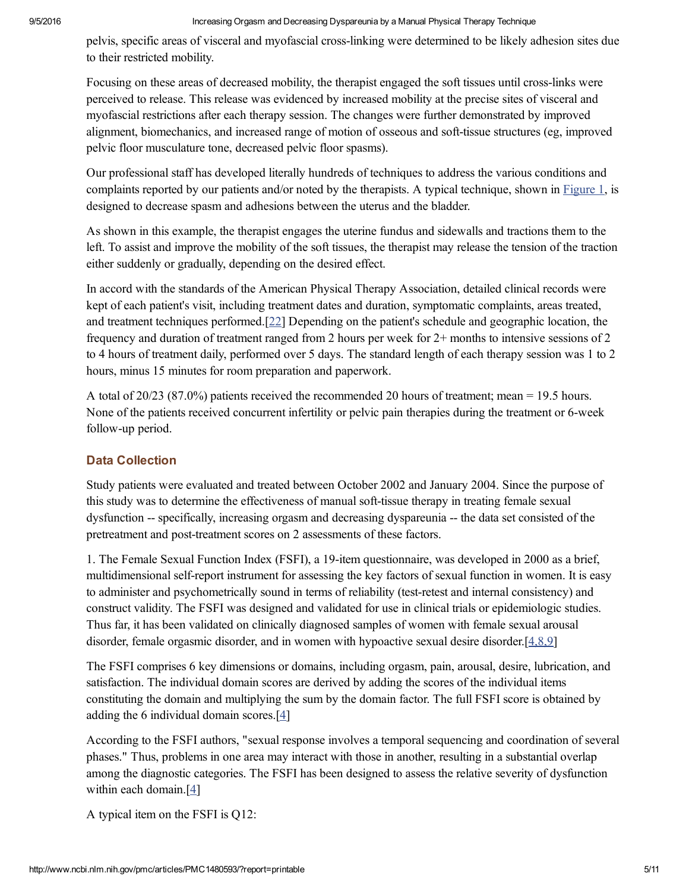pelvis, specific areas of visceral and myofascial cross-linking were determined to be likely adhesion sites due to their restricted mobility.

Focusing on these areas of decreased mobility, the therapist engaged the soft tissues until cross-links were perceived to release. This release was evidenced by increased mobility at the precise sites of visceral and myofascial restrictions after each therapy session. The changes were further demonstrated by improved alignment, biomechanics, and increased range of motion of osseous and soft-tissue structures (eg, improved pelvic floor musculature tone, decreased pelvic floor spasms).

Our professional staff has developed literally hundreds of techniques to address the various conditions and complaints reported by our patients and/or noted by the therapists. A typical technique, shown in [Figure](http://www.ncbi.nlm.nih.gov/pmc/articles/PMC1480593/figure/F1/) 1, is designed to decrease spasm and adhesions between the uterus and the bladder.

As shown in this example, the therapist engages the uterine fundus and sidewalls and tractions them to the left. To assist and improve the mobility of the soft tissues, the therapist may release the tension of the traction either suddenly or gradually, depending on the desired effect.

In accord with the standards of the American Physical Therapy Association, detailed clinical records were kept of each patient's visit, including treatment dates and duration, symptomatic complaints, areas treated, and treatment techniques performed.[\[22](#page-8-8)] Depending on the patient's schedule and geographic location, the frequency and duration of treatment ranged from 2 hours per week for 2+ months to intensive sessions of 2 to 4 hours of treatment daily, performed over 5 days. The standard length of each therapy session was 1 to 2 hours, minus 15 minutes for room preparation and paperwork.

A total of 20/23 (87.0%) patients received the recommended 20 hours of treatment; mean = 19.5 hours. None of the patients received concurrent infertility or pelvic pain therapies during the treatment or 6-week follow-up period.

## Data Collection

Study patients were evaluated and treated between October 2002 and January 2004. Since the purpose of this study was to determine the effectiveness of manual soft-tissue therapy in treating female sexual dysfunction -- specifically, increasing orgasm and decreasing dyspareunia -- the data set consisted of the pretreatment and post-treatment scores on 2 assessments of these factors.

1. The Female Sexual Function Index (FSFI), a 19item questionnaire, was developed in 2000 as a brief, multidimensional self-report instrument for assessing the key factors of sexual function in women. It is easy to administer and psychometrically sound in terms of reliability (testretest and internal consistency) and construct validity. The FSFI was designed and validated for use in clinical trials or epidemiologic studies. Thus far, it has been validated on clinically diagnosed samples of women with female sexual arousal disorder, female orgasmic disorder, and in women with hypoactive sexual desire disorder.[[4,8,9\]](#page-7-3)

The FSFI comprises 6 key dimensions or domains, including orgasm, pain, arousal, desire, lubrication, and satisfaction. The individual domain scores are derived by adding the scores of the individual items constituting the domain and multiplying the sum by the domain factor. The full FSFI score is obtained by adding the 6 individual domain scores.[[4](#page-7-3)]

According to the FSFI authors, "sexual response involves a temporal sequencing and coordination of several phases." Thus, problems in one area may interact with those in another, resulting in a substantial overlap among the diagnostic categories. The FSFI has been designed to assess the relative severity of dysfunction within each domain.<sup>[\[4\]](#page-7-3)</sup>

A typical item on the FSFI is Q12: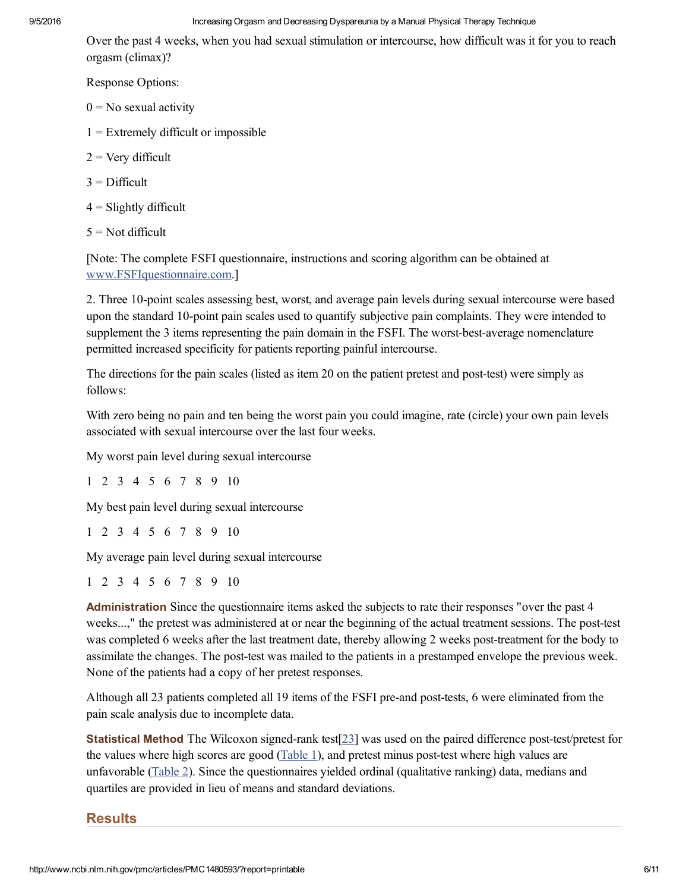Over the past 4 weeks, when you had sexual stimulation or intercourse, how difficult was it for you to reach orgasm (climax)?

Response Options:

- $0 = No$  sexual activity
- $1 =$  Extremely difficult or impossible
- $2 =$  Very difficult
- $3$  = Difficult
- $4 =$  Slightly difficult
- $5 = Not$  difficult

[Note: The complete FSFI questionnaire, instructions and scoring algorithm can be obtained at [www.FSFIquestionnaire.com.](http://www.fsfiquestionnaire.com/)]

2. Three 10-point scales assessing best, worst, and average pain levels during sexual intercourse were based upon the standard 10-point pain scales used to quantify subjective pain complaints. They were intended to supplement the 3 items representing the pain domain in the FSFI. The worst-best-average nomenclature permitted increased specificity for patients reporting painful intercourse.

The directions for the pain scales (listed as item 20 on the patient pretest and post-test) were simply as follows:

With zero being no pain and ten being the worst pain you could imagine, rate (circle) your own pain levels associated with sexual intercourse over the last four weeks.

My worst pain level during sexual intercourse

1 2 3 4 5 6 7 8 9 10

My best pain level during sexual intercourse

1 2 3 4 5 6 7 8 9 10

My average pain level during sexual intercourse

1 2 3 4 5 6 7 8 9 10

Administration Since the questionnaire items asked the subjects to rate their responses "over the past 4 weeks...," the pretest was administered at or near the beginning of the actual treatment sessions. The post-test was completed 6 weeks after the last treatment date, thereby allowing 2 weeks post-treatment for the body to assimilate the changes. The post-test was mailed to the patients in a prestamped envelope the previous week. None of the patients had a copy of her pretest responses.

Although all 23 patients completed all 19 items of the FSFI pre-and post-tests, 6 were eliminated from the pain scale analysis due to incomplete data.

**Statistical Method** The Wilcoxon signed-rank test[ $23$ ] was used on the paired difference post-test/pretest for the values where high scores are good ([Table](http://www.ncbi.nlm.nih.gov/pmc/articles/PMC1480593/table/T1/) 1), and pretest minus post-test where high values are unfavorable [\(Table](http://www.ncbi.nlm.nih.gov/pmc/articles/PMC1480593/table/T2/) 2). Since the questionnaires yielded ordinal (qualitative ranking) data, medians and quartiles are provided in lieu of means and standard deviations.

### **Results**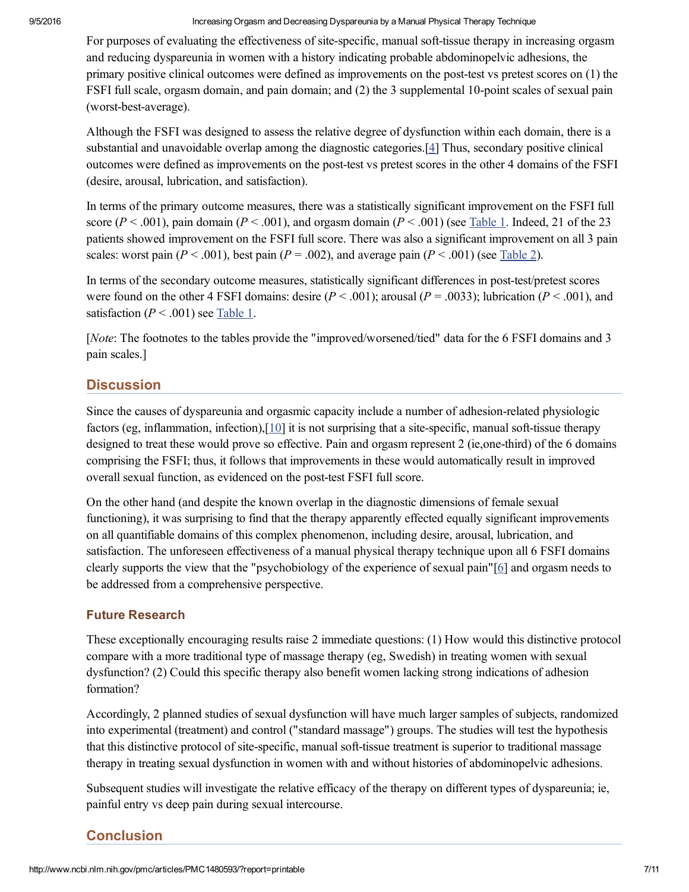For purposes of evaluating the effectiveness of site-specific, manual soft-tissue therapy in increasing orgasm and reducing dyspareunia in women with a history indicating probable abdominopelvic adhesions, the primary positive clinical outcomes were defined as improvements on the post-test vs pretest scores on (1) the FSFI full scale, orgasm domain, and pain domain; and (2) the 3 supplemental 10-point scales of sexual pain (worst-best-average).

Although the FSFI was designed to assess the relative degree of dysfunction within each domain, there is a substantial and unavoidable overlap among the diagnostic categories.[\[4\]](#page-7-3) Thus, secondary positive clinical outcomes were defined as improvements on the post-test vs pretest scores in the other 4 domains of the FSFI (desire, arousal, lubrication, and satisfaction).

In terms of the primary outcome measures, there was a statistically significant improvement on the FSFI full score ( $P < .001$ ), pain domain ( $P < .001$ ), and orgasm domain ( $P < .001$ ) (see [Table](http://www.ncbi.nlm.nih.gov/pmc/articles/PMC1480593/table/T1/) 1. Indeed, 21 of the 23 patients showed improvement on the FSFI full score. There was also a significant improvement on all 3 pain scales: worst pain ( $P < .001$ ), best pain ( $P = .002$ ), and average pain ( $P < .001$ ) (see [Table](http://www.ncbi.nlm.nih.gov/pmc/articles/PMC1480593/table/T2/) 2).

In terms of the secondary outcome measures, statistically significant differences in post-test/pretest scores were found on the other 4 FSFI domains: desire  $(P < .001)$ ; arousal  $(P = .0033)$ ; lubrication  $(P < .001)$ , and satisfaction ( $P < .001$ ) see [Table](http://www.ncbi.nlm.nih.gov/pmc/articles/PMC1480593/table/T1/) 1.

[Note: The footnotes to the tables provide the "improved/worsened/tied" data for the 6 FSFI domains and 3 pain scales.]

# **Discussion**

Since the causes of dyspareunia and orgasmic capacity include a number of adhesion-related physiologic factors (eg, inflammation, infection), $[10]$  $[10]$  it is not surprising that a site-specific, manual soft-tissue therapy designed to treat these would prove so effective. Pain and orgasm represent 2 (ie, one-third) of the 6 domains comprising the FSFI; thus, it follows that improvements in these would automatically result in improved overall sexual function, as evidenced on the post-test FSFI full score.

On the other hand (and despite the known overlap in the diagnostic dimensions of female sexual functioning), it was surprising to find that the therapy apparently effected equally significant improvements on all quantifiable domains of this complex phenomenon, including desire, arousal, lubrication, and satisfaction. The unforeseen effectiveness of a manual physical therapy technique upon all 6 FSFI domains clearly supports the view that the "psychobiology of the experience of sexual pain"[\[6\]](#page-7-5) and orgasm needs to be addressed from a comprehensive perspective.

## Future Research

These exceptionally encouraging results raise 2 immediate questions: (1) How would this distinctive protocol compare with a more traditional type of massage therapy (eg, Swedish) in treating women with sexual dysfunction? (2) Could this specific therapy also benefit women lacking strong indications of adhesion formation?

Accordingly, 2 planned studies of sexual dysfunction will have much larger samples of subjects, randomized into experimental (treatment) and control ("standard massage") groups. The studies will test the hypothesis that this distinctive protocol of site-specific, manual soft-tissue treatment is superior to traditional massage therapy in treating sexual dysfunction in women with and without histories of abdominopelvic adhesions.

Subsequent studies will investigate the relative efficacy of the therapy on different types of dyspareunia; ie, painful entry vs deep pain during sexual intercourse.

# Conclusion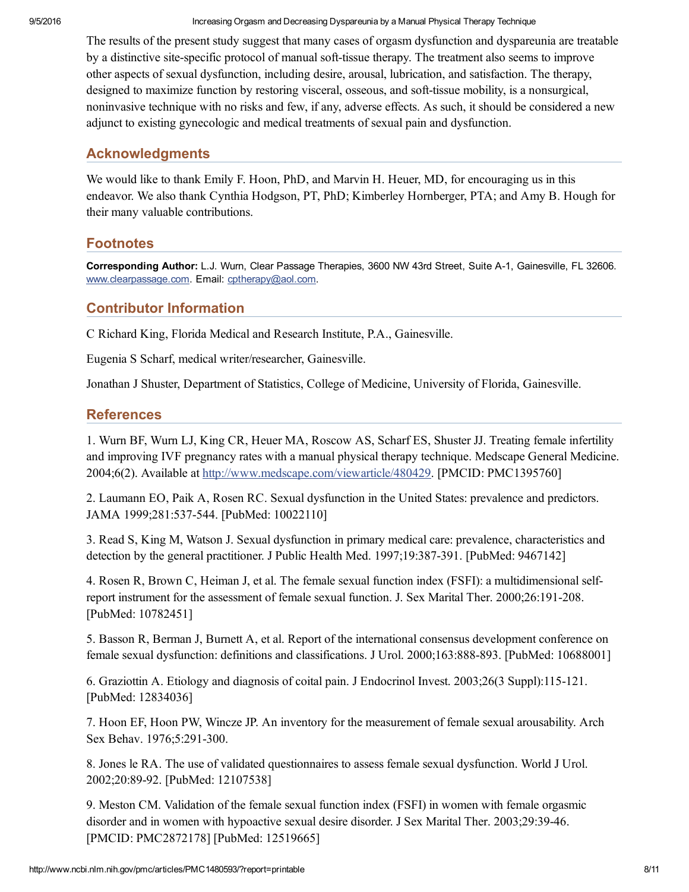The results of the present study suggest that many cases of orgasm dysfunction and dyspareunia are treatable by a distinctive site-specific protocol of manual soft-tissue therapy. The treatment also seems to improve other aspects of sexual dysfunction, including desire, arousal, lubrication, and satisfaction. The therapy, designed to maximize function by restoring visceral, osseous, and soft-tissue mobility, is a nonsurgical, noninvasive technique with no risks and few, if any, adverse effects. As such, it should be considered a new adjunct to existing gynecologic and medical treatments of sexual pain and dysfunction.

# Acknowledgments

We would like to thank Emily F. Hoon, PhD, and Marvin H. Heuer, MD, for encouraging us in this endeavor. We also thank Cynthia Hodgson, PT, PhD; Kimberley Hornberger, PTA; and Amy B. Hough for their many valuable contributions.

# **Footnotes**

Corresponding Author: L.J. Wurn, Clear Passage Therapies, 3600 NW 43rd Street, Suite A-1, Gainesville, FL 32606. [www.clearpassage.com](http://www.clearpassage.com/). Email: [cptherapy@aol.com.](mailto:dev@null)

# <span id="page-7-0"></span>Contributor Information

C Richard King, Florida Medical and Research Institute, P.A., Gainesville.

Eugenia S Scharf, medical writer/researcher, Gainesville.

Jonathan J Shuster, Department of Statistics, College of Medicine, University of Florida, Gainesville.

# **References**

<span id="page-7-1"></span>1. Wurn BF, Wurn LJ, King CR, Heuer MA, Roscow AS, Scharf ES, Shuster JJ. Treating female infertility and improving IVF pregnancy rates with a manual physical therapy technique. Medscape General Medicine. 2004;6(2). Available at [http://www.medscape.com/viewarticle/480429.](http://www.medscape.com/viewarticle/480429) [PMCID: PMC1395760]

<span id="page-7-2"></span>2. Laumann EO, Paik A, Rosen RC. Sexual dysfunction in the United States: prevalence and predictors. JAMA 1999;281:537-544. [PubMed: 10022110]

3. Read S, King M, Watson J. Sexual dysfunction in primary medical care: prevalence, characteristics and detection by the general practitioner. J Public Health Med. 1997;19:387391. [PubMed: 9467142]

<span id="page-7-3"></span>4. Rosen R, Brown C, Heiman J, et al. The female sexual function index (FSFI): a multidimensional selfreport instrument for the assessment of female sexual function. J. Sex Marital Ther. 2000;26:191-208. [PubMed: 10782451]

<span id="page-7-4"></span>5. Basson R, Berman J, Burnett A, et al. Report of the international consensus development conference on female sexual dysfunction: definitions and classifications. J Urol. 2000;163:888-893. [PubMed: 10688001]

<span id="page-7-5"></span>6. Graziottin A. Etiology and diagnosis of coital pain. J Endocrinol Invest. 2003;26(3 Suppl):115121. [PubMed: 12834036]

<span id="page-7-6"></span>7. Hoon EF, Hoon PW, Wincze JP. An inventory for the measurement of female sexual arousability. Arch Sex Behav. 1976;5:291-300.

<span id="page-7-7"></span>8. Jones le RA. The use of validated questionnaires to assess female sexual dysfunction. World J Urol. 2002;20:89-92. [PubMed: 12107538]

9. Meston CM. Validation of the female sexual function index (FSFI) in women with female orgasmic disorder and in women with hypoactive sexual desire disorder. J Sex Marital Ther. 2003;29:3946. [PMCID: PMC2872178] [PubMed: 12519665]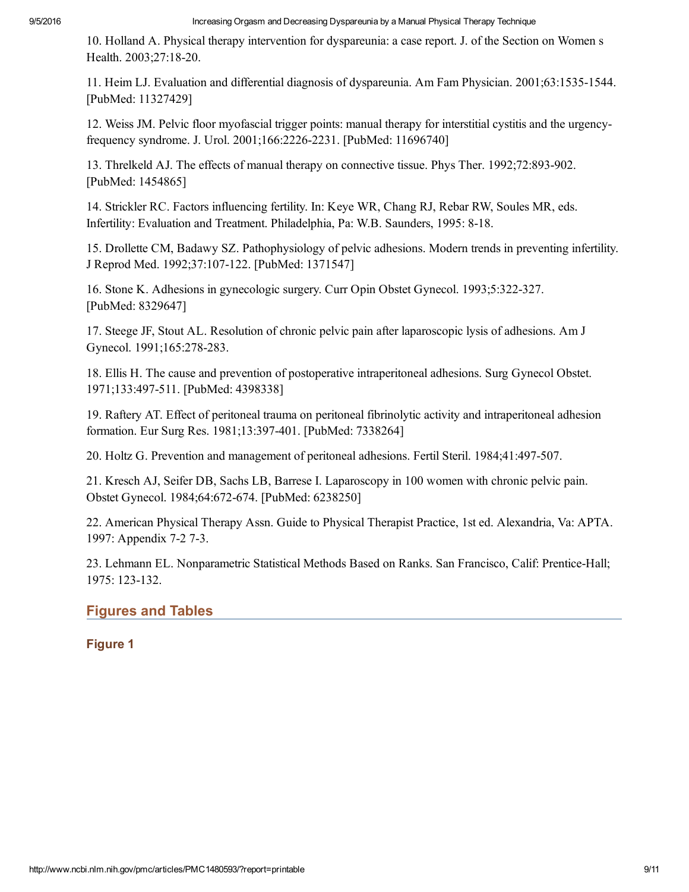<span id="page-8-0"></span>10. Holland A. Physical therapy intervention for dyspareunia: a case report. J. of the Section on Women s Health. 2003;27:18-20.

<span id="page-8-1"></span>11. Heim LJ. Evaluation and differential diagnosis of dyspareunia. Am Fam Physician. 2001;63:15351544. [PubMed: 11327429]

<span id="page-8-2"></span>12. Weiss JM. Pelvic floor myofascial trigger points: manual therapy for interstitial cystitis and the urgencyfrequency syndrome. J. Urol. 2001;166:22262231. [PubMed: 11696740]

<span id="page-8-3"></span>13. Threlkeld AJ. The effects of manual therapy on connective tissue. Phys Ther. 1992;72:893-902. [PubMed: 1454865]

<span id="page-8-4"></span>14. Strickler RC. Factors influencing fertility. In: Keye WR, Chang RJ, Rebar RW, Soules MR, eds. Infertility: Evaluation and Treatment. Philadelphia, Pa: W.B. Saunders, 1995: 8-18.

<span id="page-8-5"></span>15. Drollette CM, Badawy SZ. Pathophysiology of pelvic adhesions. Modern trends in preventing infertility. J Reprod Med. 1992;37:107122. [PubMed: 1371547]

16. Stone K. Adhesions in gynecologic surgery. Curr Opin Obstet Gynecol. 1993;5:322327. [PubMed: 8329647]

17. Steege JF, Stout AL. Resolution of chronic pelvic pain after laparoscopic lysis of adhesions. Am J Gynecol. 1991;165:278-283.

<span id="page-8-6"></span>18. Ellis H. The cause and prevention of postoperative intraperitoneal adhesions. Surg Gynecol Obstet. 1971;133:497511. [PubMed: 4398338]

19. Raftery AT. Effect of peritoneal trauma on peritoneal fibrinolytic activity and intraperitoneal adhesion formation. Eur Surg Res. 1981;13:397401. [PubMed: 7338264]

20. Holtz G. Prevention and management of peritoneal adhesions. Fertil Steril. 1984;41:497-507.

<span id="page-8-7"></span>21. Kresch AJ, Seifer DB, Sachs LB, Barrese I. Laparoscopy in 100 women with chronic pelvic pain. Obstet Gynecol. 1984;64:672-674. [PubMed: 6238250]

<span id="page-8-8"></span>22. American Physical Therapy Assn. Guide to Physical Therapist Practice, 1st ed. Alexandria, Va: APTA. 1997: Appendix 7-2 7-3.

<span id="page-8-9"></span>23. Lehmann EL. Nonparametric Statistical Methods Based on Ranks. San Francisco, Calif: Prentice-Hall; 1975: 123-132.

# Figures and Tables

## Figure 1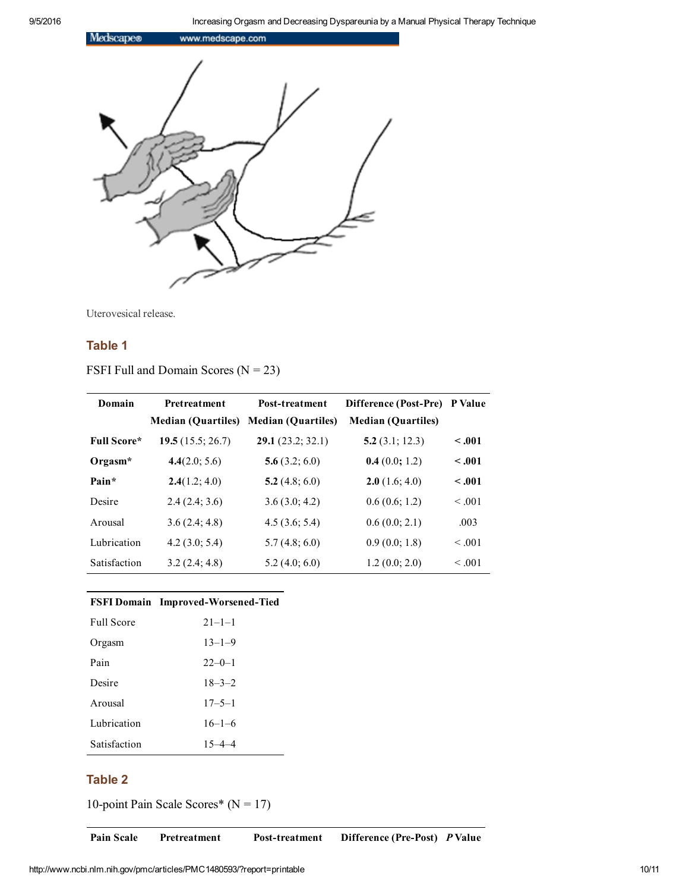

Uterovesical release.

# Table 1

FSFI Full and Domain Scores  $(N = 23)$ 

| Domain              | Pretreatment              | Post-treatment            | <b>Difference (Post-Pre)</b> | P Value |
|---------------------|---------------------------|---------------------------|------------------------------|---------|
|                     | <b>Median (Quartiles)</b> | <b>Median (Quartiles)</b> | <b>Median (Quartiles)</b>    |         |
| <b>Full Score*</b>  | 19.5(15.5; 26.7)          | 29.1(23.2; 32.1)          | 5.2(3.1; 12.3)               | $-.001$ |
| Orgasm <sup>*</sup> | 4.4(2.0; 5.6)             | 5.6(3.2; 6.0)             | 0.4(0.0; 1.2)                | $-.001$ |
| Pain*               | 2.4(1.2; 4.0)             | 5.2 $(4.8; 6.0)$          | 2.0(1.6; 4.0)                | $-.001$ |
| Desire              | 2.4(2.4; 3.6)             | 3.6(3.0; 4.2)             | 0.6(0.6; 1.2)                | < 0.01  |
| Arousal             | 3.6(2.4; 4.8)             | 4.5(3.6; 5.4)             | 0.6(0.0; 2.1)                | .003    |
| Lubrication         | 4.2(3.0; 5.4)             | 5.7(4.8; 6.0)             | 0.9(0.0; 1.8)                | < 0.01  |
| Satisfaction        | 3.2(2.4; 4.8)             | 5.2(4.0; 6.0)             | 1.2(0.0; 2.0)                | < 0.01  |

# FSFI Domain Improved-Worsened-Tied

| <b>Full Score</b> | $21 - 1 - 1$ |
|-------------------|--------------|
| Orgasm            | $13 - 1 - 9$ |
| Pain              | $22 - 0 - 1$ |
| Desire            | $18 - 3 - 2$ |
| Arousal           | $17 - 5 - 1$ |
| Lubrication       | $16 - 1 - 6$ |
| Satisfaction      | $15 - 4 - 4$ |

### Table 2

10-point Pain Scale Scores\* ( $N = 17$ )

Pain Scale Pretreatment Post-treatment Difference (Pre-Post) P Value